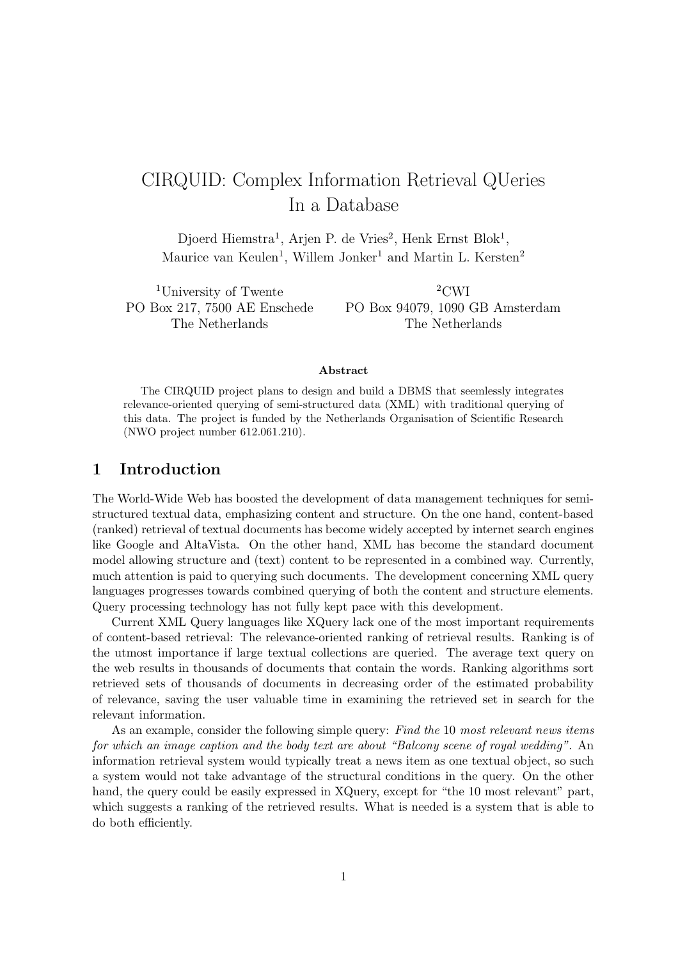# CIRQUID: Complex Information Retrieval QUeries In a Database

Djoerd Hiemstra<sup>1</sup>, Arjen P. de Vries<sup>2</sup>, Henk Ernst Blok<sup>1</sup>, Maurice van Keulen<sup>1</sup>, Willem Jonker<sup>1</sup> and Martin L. Kersten<sup>2</sup>

<sup>1</sup>University of Twente PO Box 217, 7500 AE Enschede The Netherlands

 $^2\mathrm{CWI}$ PO Box 94079, 1090 GB Amsterdam The Netherlands

#### Abstract

The CIRQUID project plans to design and build a DBMS that seemlessly integrates relevance-oriented querying of semi-structured data (XML) with traditional querying of this data. The project is funded by the Netherlands Organisation of Scientific Research (NWO project number 612.061.210).

# 1 Introduction

The World-Wide Web has boosted the development of data management techniques for semistructured textual data, emphasizing content and structure. On the one hand, content-based (ranked) retrieval of textual documents has become widely accepted by internet search engines like Google and AltaVista. On the other hand, XML has become the standard document model allowing structure and (text) content to be represented in a combined way. Currently, much attention is paid to querying such documents. The development concerning XML query languages progresses towards combined querying of both the content and structure elements. Query processing technology has not fully kept pace with this development.

Current XML Query languages like XQuery lack one of the most important requirements of content-based retrieval: The relevance-oriented ranking of retrieval results. Ranking is of the utmost importance if large textual collections are queried. The average text query on the web results in thousands of documents that contain the words. Ranking algorithms sort retrieved sets of thousands of documents in decreasing order of the estimated probability of relevance, saving the user valuable time in examining the retrieved set in search for the relevant information.

As an example, consider the following simple query: Find the 10 most relevant news items for which an image caption and the body text are about "Balcony scene of royal wedding". An information retrieval system would typically treat a news item as one textual object, so such a system would not take advantage of the structural conditions in the query. On the other hand, the query could be easily expressed in XQuery, except for "the 10 most relevant" part, which suggests a ranking of the retrieved results. What is needed is a system that is able to do both efficiently.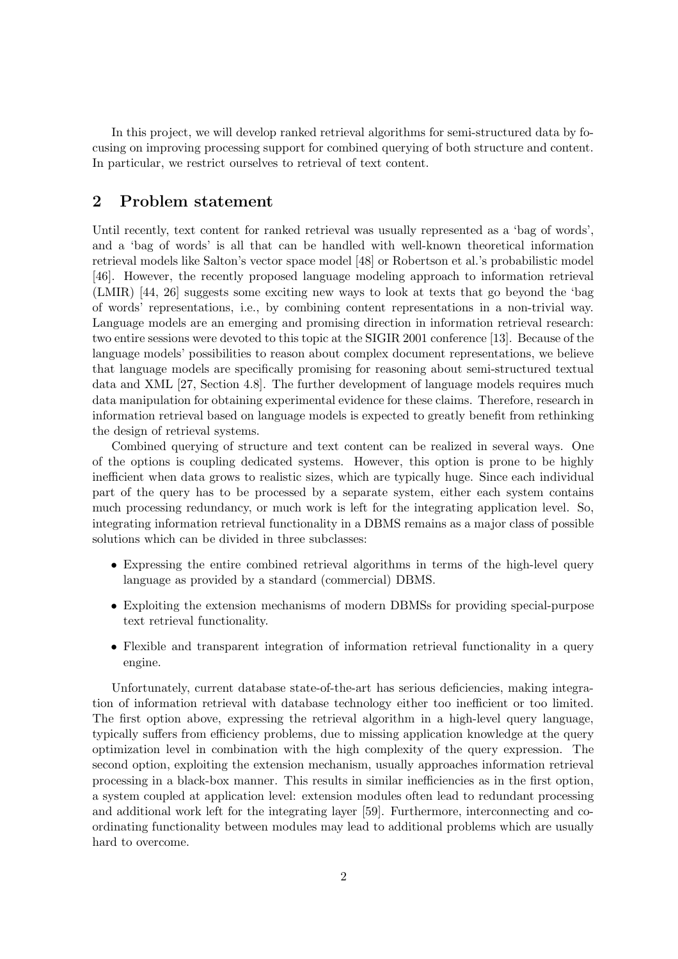In this project, we will develop ranked retrieval algorithms for semi-structured data by focusing on improving processing support for combined querying of both structure and content. In particular, we restrict ourselves to retrieval of text content.

# 2 Problem statement

Until recently, text content for ranked retrieval was usually represented as a 'bag of words', and a 'bag of words' is all that can be handled with well-known theoretical information retrieval models like Salton's vector space model [48] or Robertson et al.'s probabilistic model [46]. However, the recently proposed language modeling approach to information retrieval (LMIR) [44, 26] suggests some exciting new ways to look at texts that go beyond the 'bag of words' representations, i.e., by combining content representations in a non-trivial way. Language models are an emerging and promising direction in information retrieval research: two entire sessions were devoted to this topic at the SIGIR 2001 conference [13]. Because of the language models' possibilities to reason about complex document representations, we believe that language models are specifically promising for reasoning about semi-structured textual data and XML [27, Section 4.8]. The further development of language models requires much data manipulation for obtaining experimental evidence for these claims. Therefore, research in information retrieval based on language models is expected to greatly benefit from rethinking the design of retrieval systems.

Combined querying of structure and text content can be realized in several ways. One of the options is coupling dedicated systems. However, this option is prone to be highly inefficient when data grows to realistic sizes, which are typically huge. Since each individual part of the query has to be processed by a separate system, either each system contains much processing redundancy, or much work is left for the integrating application level. So, integrating information retrieval functionality in a DBMS remains as a major class of possible solutions which can be divided in three subclasses:

- Expressing the entire combined retrieval algorithms in terms of the high-level query language as provided by a standard (commercial) DBMS.
- Exploiting the extension mechanisms of modern DBMSs for providing special-purpose text retrieval functionality.
- Flexible and transparent integration of information retrieval functionality in a query engine.

Unfortunately, current database state-of-the-art has serious deficiencies, making integration of information retrieval with database technology either too inefficient or too limited. The first option above, expressing the retrieval algorithm in a high-level query language, typically suffers from efficiency problems, due to missing application knowledge at the query optimization level in combination with the high complexity of the query expression. The second option, exploiting the extension mechanism, usually approaches information retrieval processing in a black-box manner. This results in similar inefficiencies as in the first option, a system coupled at application level: extension modules often lead to redundant processing and additional work left for the integrating layer [59]. Furthermore, interconnecting and coordinating functionality between modules may lead to additional problems which are usually hard to overcome.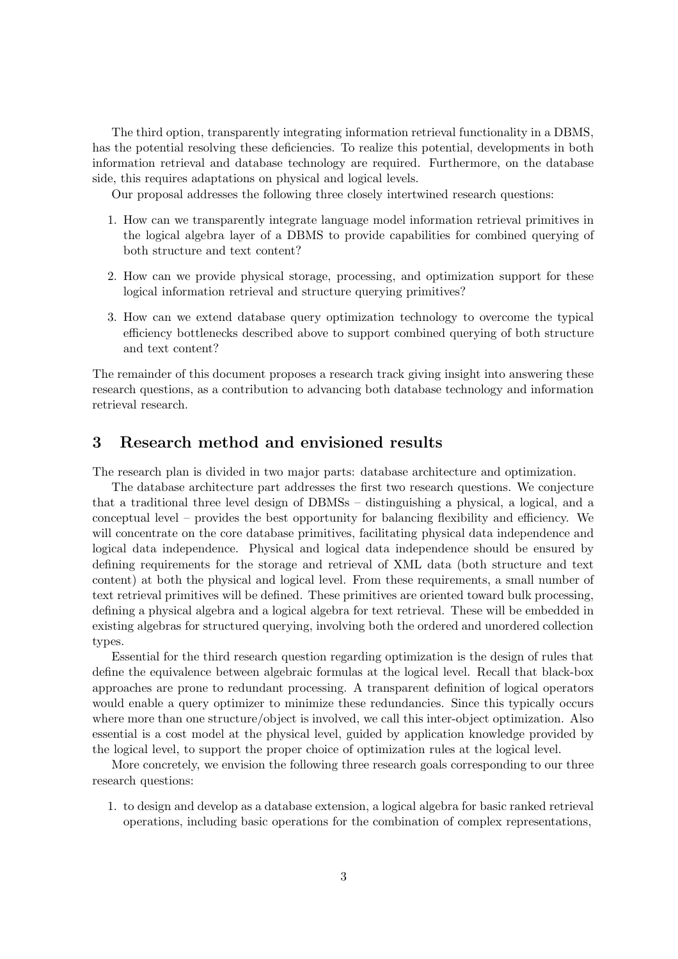The third option, transparently integrating information retrieval functionality in a DBMS, has the potential resolving these deficiencies. To realize this potential, developments in both information retrieval and database technology are required. Furthermore, on the database side, this requires adaptations on physical and logical levels.

Our proposal addresses the following three closely intertwined research questions:

- 1. How can we transparently integrate language model information retrieval primitives in the logical algebra layer of a DBMS to provide capabilities for combined querying of both structure and text content?
- 2. How can we provide physical storage, processing, and optimization support for these logical information retrieval and structure querying primitives?
- 3. How can we extend database query optimization technology to overcome the typical efficiency bottlenecks described above to support combined querying of both structure and text content?

The remainder of this document proposes a research track giving insight into answering these research questions, as a contribution to advancing both database technology and information retrieval research.

# 3 Research method and envisioned results

The research plan is divided in two major parts: database architecture and optimization.

The database architecture part addresses the first two research questions. We conjecture that a traditional three level design of DBMSs – distinguishing a physical, a logical, and a conceptual level – provides the best opportunity for balancing flexibility and efficiency. We will concentrate on the core database primitives, facilitating physical data independence and logical data independence. Physical and logical data independence should be ensured by defining requirements for the storage and retrieval of XML data (both structure and text content) at both the physical and logical level. From these requirements, a small number of text retrieval primitives will be defined. These primitives are oriented toward bulk processing, defining a physical algebra and a logical algebra for text retrieval. These will be embedded in existing algebras for structured querying, involving both the ordered and unordered collection types.

Essential for the third research question regarding optimization is the design of rules that define the equivalence between algebraic formulas at the logical level. Recall that black-box approaches are prone to redundant processing. A transparent definition of logical operators would enable a query optimizer to minimize these redundancies. Since this typically occurs where more than one structure/object is involved, we call this inter-object optimization. Also essential is a cost model at the physical level, guided by application knowledge provided by the logical level, to support the proper choice of optimization rules at the logical level.

More concretely, we envision the following three research goals corresponding to our three research questions:

1. to design and develop as a database extension, a logical algebra for basic ranked retrieval operations, including basic operations for the combination of complex representations,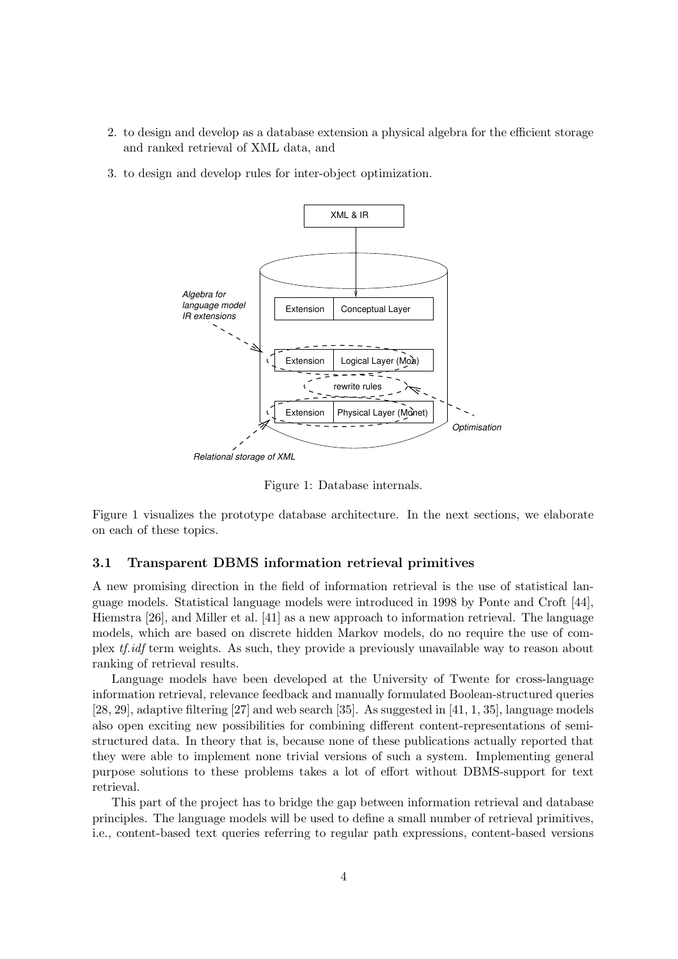- 2. to design and develop as a database extension a physical algebra for the efficient storage and ranked retrieval of XML data, and
- 3. to design and develop rules for inter-object optimization.



Figure 1: Database internals.

Figure 1 visualizes the prototype database architecture. In the next sections, we elaborate on each of these topics.

#### 3.1 Transparent DBMS information retrieval primitives

A new promising direction in the field of information retrieval is the use of statistical language models. Statistical language models were introduced in 1998 by Ponte and Croft [44], Hiemstra [26], and Miller et al. [41] as a new approach to information retrieval. The language models, which are based on discrete hidden Markov models, do no require the use of complex tf.idf term weights. As such, they provide a previously unavailable way to reason about ranking of retrieval results.

Language models have been developed at the University of Twente for cross-language information retrieval, relevance feedback and manually formulated Boolean-structured queries [28, 29], adaptive filtering [27] and web search [35]. As suggested in [41, 1, 35], language models also open exciting new possibilities for combining different content-representations of semistructured data. In theory that is, because none of these publications actually reported that they were able to implement none trivial versions of such a system. Implementing general purpose solutions to these problems takes a lot of effort without DBMS-support for text retrieval.

This part of the project has to bridge the gap between information retrieval and database principles. The language models will be used to define a small number of retrieval primitives, i.e., content-based text queries referring to regular path expressions, content-based versions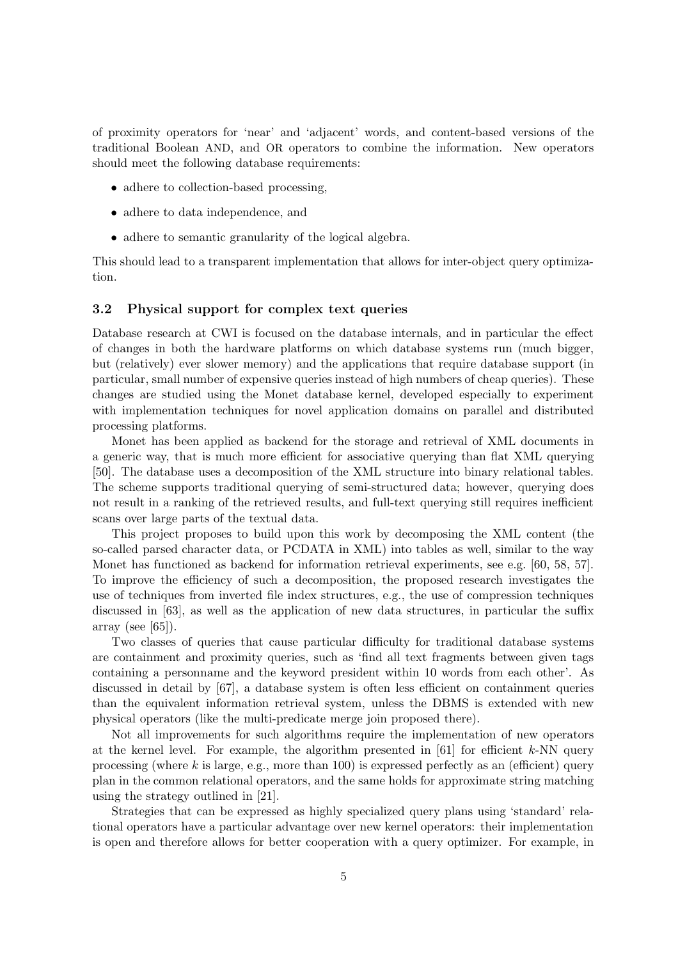of proximity operators for 'near' and 'adjacent' words, and content-based versions of the traditional Boolean AND, and OR operators to combine the information. New operators should meet the following database requirements:

- adhere to collection-based processing.
- adhere to data independence, and
- adhere to semantic granularity of the logical algebra.

This should lead to a transparent implementation that allows for inter-object query optimization.

## 3.2 Physical support for complex text queries

Database research at CWI is focused on the database internals, and in particular the effect of changes in both the hardware platforms on which database systems run (much bigger, but (relatively) ever slower memory) and the applications that require database support (in particular, small number of expensive queries instead of high numbers of cheap queries). These changes are studied using the Monet database kernel, developed especially to experiment with implementation techniques for novel application domains on parallel and distributed processing platforms.

Monet has been applied as backend for the storage and retrieval of XML documents in a generic way, that is much more efficient for associative querying than flat XML querying [50]. The database uses a decomposition of the XML structure into binary relational tables. The scheme supports traditional querying of semi-structured data; however, querying does not result in a ranking of the retrieved results, and full-text querying still requires inefficient scans over large parts of the textual data.

This project proposes to build upon this work by decomposing the XML content (the so-called parsed character data, or PCDATA in XML) into tables as well, similar to the way Monet has functioned as backend for information retrieval experiments, see e.g. [60, 58, 57]. To improve the efficiency of such a decomposition, the proposed research investigates the use of techniques from inverted file index structures, e.g., the use of compression techniques discussed in [63], as well as the application of new data structures, in particular the suffix array (see  $[65]$ ).

Two classes of queries that cause particular difficulty for traditional database systems are containment and proximity queries, such as 'find all text fragments between given tags containing a personname and the keyword president within 10 words from each other'. As discussed in detail by [67], a database system is often less efficient on containment queries than the equivalent information retrieval system, unless the DBMS is extended with new physical operators (like the multi-predicate merge join proposed there).

Not all improvements for such algorithms require the implementation of new operators at the kernel level. For example, the algorithm presented in  $[61]$  for efficient k-NN query processing (where  $k$  is large, e.g., more than 100) is expressed perfectly as an (efficient) query plan in the common relational operators, and the same holds for approximate string matching using the strategy outlined in [21].

Strategies that can be expressed as highly specialized query plans using 'standard' relational operators have a particular advantage over new kernel operators: their implementation is open and therefore allows for better cooperation with a query optimizer. For example, in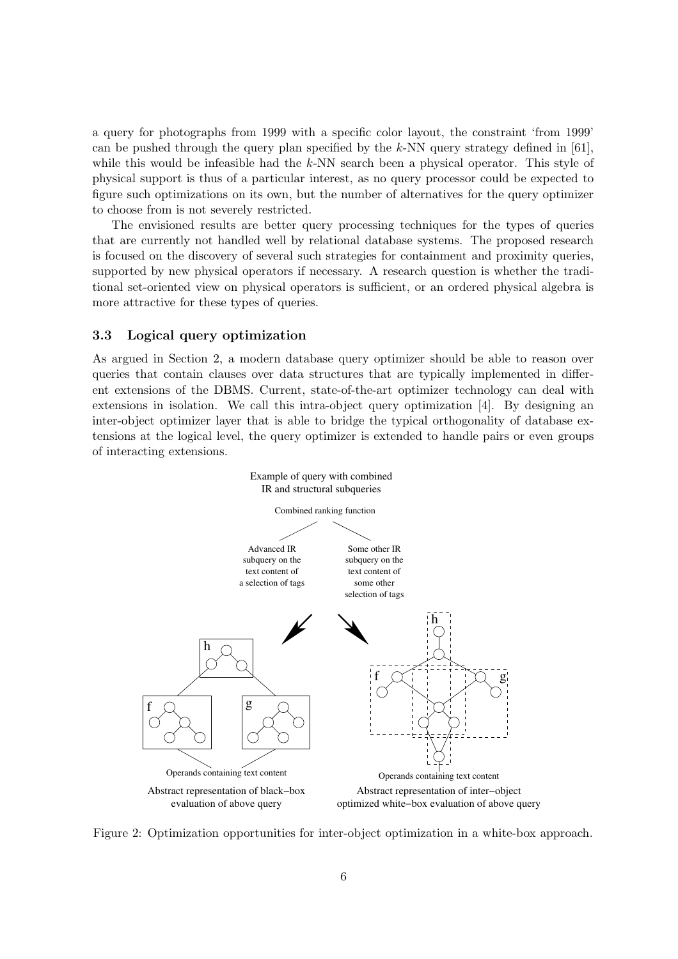a query for photographs from 1999 with a specific color layout, the constraint 'from 1999' can be pushed through the query plan specified by the  $k$ -NN query strategy defined in [61], while this would be infeasible had the  $k$ -NN search been a physical operator. This style of physical support is thus of a particular interest, as no query processor could be expected to figure such optimizations on its own, but the number of alternatives for the query optimizer to choose from is not severely restricted.

The envisioned results are better query processing techniques for the types of queries that are currently not handled well by relational database systems. The proposed research is focused on the discovery of several such strategies for containment and proximity queries, supported by new physical operators if necessary. A research question is whether the traditional set-oriented view on physical operators is sufficient, or an ordered physical algebra is more attractive for these types of queries.

## 3.3 Logical query optimization

As argued in Section 2, a modern database query optimizer should be able to reason over queries that contain clauses over data structures that are typically implemented in different extensions of the DBMS. Current, state-of-the-art optimizer technology can deal with extensions in isolation. We call this intra-object query optimization [4]. By designing an inter-object optimizer layer that is able to bridge the typical orthogonality of database extensions at the logical level, the query optimizer is extended to handle pairs or even groups of interacting extensions.



Figure 2: Optimization opportunities for inter-object optimization in a white-box approach.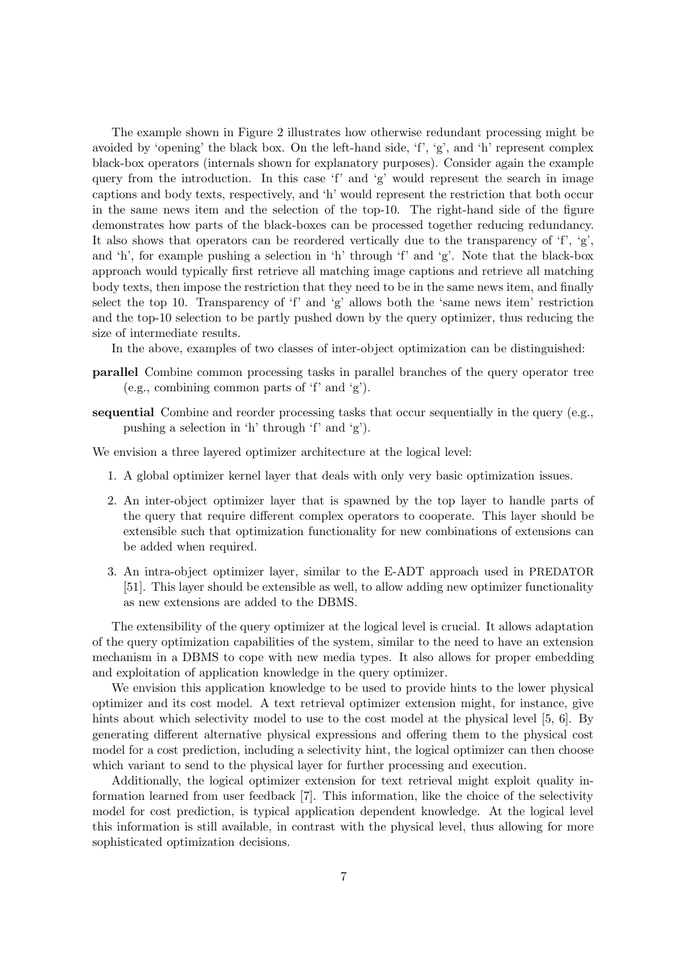The example shown in Figure 2 illustrates how otherwise redundant processing might be avoided by 'opening' the black box. On the left-hand side, 'f', 'g', and 'h' represent complex black-box operators (internals shown for explanatory purposes). Consider again the example query from the introduction. In this case  $f'$  and  $g'$  would represent the search in image captions and body texts, respectively, and 'h' would represent the restriction that both occur in the same news item and the selection of the top-10. The right-hand side of the figure demonstrates how parts of the black-boxes can be processed together reducing redundancy. It also shows that operators can be reordered vertically due to the transparency of  $f'$ ,  $g'$ , and 'h', for example pushing a selection in 'h' through 'f' and 'g'. Note that the black-box approach would typically first retrieve all matching image captions and retrieve all matching body texts, then impose the restriction that they need to be in the same news item, and finally select the top 10. Transparency of 'f' and 'g' allows both the 'same news item' restriction and the top-10 selection to be partly pushed down by the query optimizer, thus reducing the size of intermediate results.

In the above, examples of two classes of inter-object optimization can be distinguished:

- parallel Combine common processing tasks in parallel branches of the query operator tree (e.g., combining common parts of 'f' and 'g').
- sequential Combine and reorder processing tasks that occur sequentially in the query (e.g., pushing a selection in 'h' through 'f' and 'g').

We envision a three layered optimizer architecture at the logical level:

- 1. A global optimizer kernel layer that deals with only very basic optimization issues.
- 2. An inter-object optimizer layer that is spawned by the top layer to handle parts of the query that require different complex operators to cooperate. This layer should be extensible such that optimization functionality for new combinations of extensions can be added when required.
- 3. An intra-object optimizer layer, similar to the E-ADT approach used in PREDATOR [51]. This layer should be extensible as well, to allow adding new optimizer functionality as new extensions are added to the DBMS.

The extensibility of the query optimizer at the logical level is crucial. It allows adaptation of the query optimization capabilities of the system, similar to the need to have an extension mechanism in a DBMS to cope with new media types. It also allows for proper embedding and exploitation of application knowledge in the query optimizer.

We envision this application knowledge to be used to provide hints to the lower physical optimizer and its cost model. A text retrieval optimizer extension might, for instance, give hints about which selectivity model to use to the cost model at the physical level [5, 6]. By generating different alternative physical expressions and offering them to the physical cost model for a cost prediction, including a selectivity hint, the logical optimizer can then choose which variant to send to the physical layer for further processing and execution.

Additionally, the logical optimizer extension for text retrieval might exploit quality information learned from user feedback [7]. This information, like the choice of the selectivity model for cost prediction, is typical application dependent knowledge. At the logical level this information is still available, in contrast with the physical level, thus allowing for more sophisticated optimization decisions.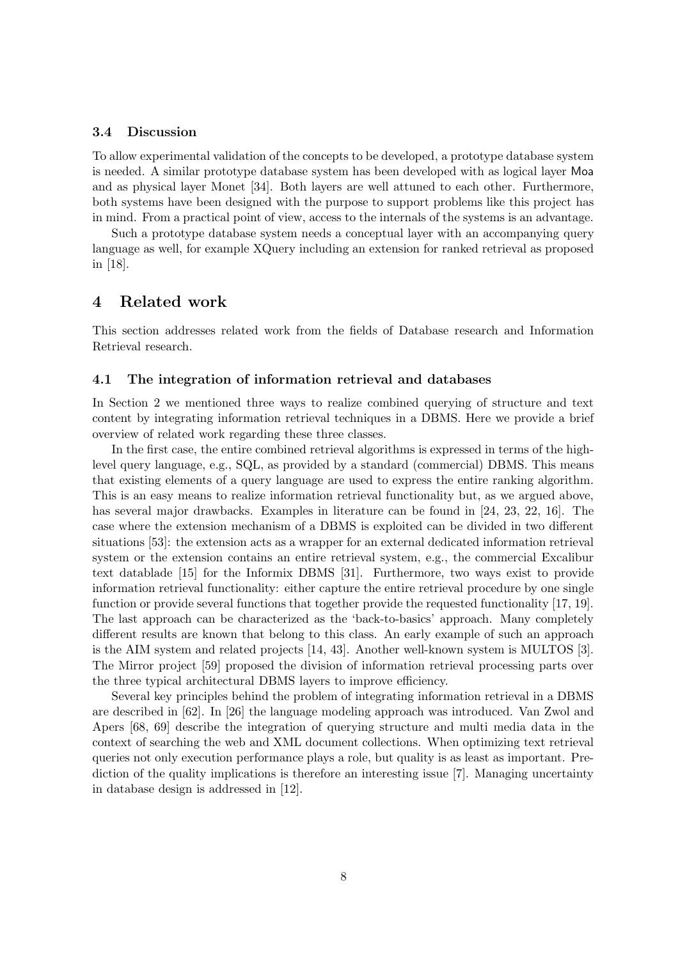## 3.4 Discussion

To allow experimental validation of the concepts to be developed, a prototype database system is needed. A similar prototype database system has been developed with as logical layer Moa and as physical layer Monet [34]. Both layers are well attuned to each other. Furthermore, both systems have been designed with the purpose to support problems like this project has in mind. From a practical point of view, access to the internals of the systems is an advantage.

Such a prototype database system needs a conceptual layer with an accompanying query language as well, for example XQuery including an extension for ranked retrieval as proposed in [18].

# 4 Related work

This section addresses related work from the fields of Database research and Information Retrieval research.

#### 4.1 The integration of information retrieval and databases

In Section 2 we mentioned three ways to realize combined querying of structure and text content by integrating information retrieval techniques in a DBMS. Here we provide a brief overview of related work regarding these three classes.

In the first case, the entire combined retrieval algorithms is expressed in terms of the highlevel query language, e.g., SQL, as provided by a standard (commercial) DBMS. This means that existing elements of a query language are used to express the entire ranking algorithm. This is an easy means to realize information retrieval functionality but, as we argued above, has several major drawbacks. Examples in literature can be found in [24, 23, 22, 16]. The case where the extension mechanism of a DBMS is exploited can be divided in two different situations [53]: the extension acts as a wrapper for an external dedicated information retrieval system or the extension contains an entire retrieval system, e.g., the commercial Excalibur text datablade [15] for the Informix DBMS [31]. Furthermore, two ways exist to provide information retrieval functionality: either capture the entire retrieval procedure by one single function or provide several functions that together provide the requested functionality [17, 19]. The last approach can be characterized as the 'back-to-basics' approach. Many completely different results are known that belong to this class. An early example of such an approach is the AIM system and related projects [14, 43]. Another well-known system is MULTOS [3]. The Mirror project [59] proposed the division of information retrieval processing parts over the three typical architectural DBMS layers to improve efficiency.

Several key principles behind the problem of integrating information retrieval in a DBMS are described in [62]. In [26] the language modeling approach was introduced. Van Zwol and Apers [68, 69] describe the integration of querying structure and multi media data in the context of searching the web and XML document collections. When optimizing text retrieval queries not only execution performance plays a role, but quality is as least as important. Prediction of the quality implications is therefore an interesting issue [7]. Managing uncertainty in database design is addressed in [12].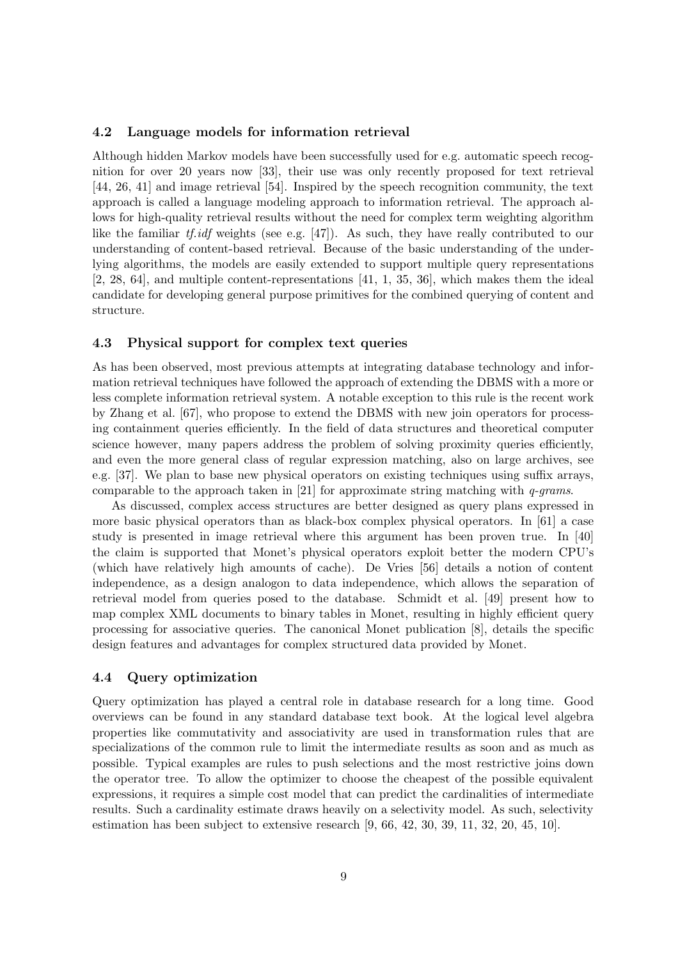#### 4.2 Language models for information retrieval

Although hidden Markov models have been successfully used for e.g. automatic speech recognition for over 20 years now [33], their use was only recently proposed for text retrieval [44, 26, 41] and image retrieval [54]. Inspired by the speech recognition community, the text approach is called a language modeling approach to information retrieval. The approach allows for high-quality retrieval results without the need for complex term weighting algorithm like the familiar tf.*idf* weights (see e.g. [47]). As such, they have really contributed to our understanding of content-based retrieval. Because of the basic understanding of the underlying algorithms, the models are easily extended to support multiple query representations [2, 28, 64], and multiple content-representations [41, 1, 35, 36], which makes them the ideal candidate for developing general purpose primitives for the combined querying of content and structure.

## 4.3 Physical support for complex text queries

As has been observed, most previous attempts at integrating database technology and information retrieval techniques have followed the approach of extending the DBMS with a more or less complete information retrieval system. A notable exception to this rule is the recent work by Zhang et al. [67], who propose to extend the DBMS with new join operators for processing containment queries efficiently. In the field of data structures and theoretical computer science however, many papers address the problem of solving proximity queries efficiently, and even the more general class of regular expression matching, also on large archives, see e.g. [37]. We plan to base new physical operators on existing techniques using suffix arrays, comparable to the approach taken in [21] for approximate string matching with  $q\text{-}grams$ .

As discussed, complex access structures are better designed as query plans expressed in more basic physical operators than as black-box complex physical operators. In [61] a case study is presented in image retrieval where this argument has been proven true. In [40] the claim is supported that Monet's physical operators exploit better the modern CPU's (which have relatively high amounts of cache). De Vries [56] details a notion of content independence, as a design analogon to data independence, which allows the separation of retrieval model from queries posed to the database. Schmidt et al. [49] present how to map complex XML documents to binary tables in Monet, resulting in highly efficient query processing for associative queries. The canonical Monet publication [8], details the specific design features and advantages for complex structured data provided by Monet.

## 4.4 Query optimization

Query optimization has played a central role in database research for a long time. Good overviews can be found in any standard database text book. At the logical level algebra properties like commutativity and associativity are used in transformation rules that are specializations of the common rule to limit the intermediate results as soon and as much as possible. Typical examples are rules to push selections and the most restrictive joins down the operator tree. To allow the optimizer to choose the cheapest of the possible equivalent expressions, it requires a simple cost model that can predict the cardinalities of intermediate results. Such a cardinality estimate draws heavily on a selectivity model. As such, selectivity estimation has been subject to extensive research [9, 66, 42, 30, 39, 11, 32, 20, 45, 10].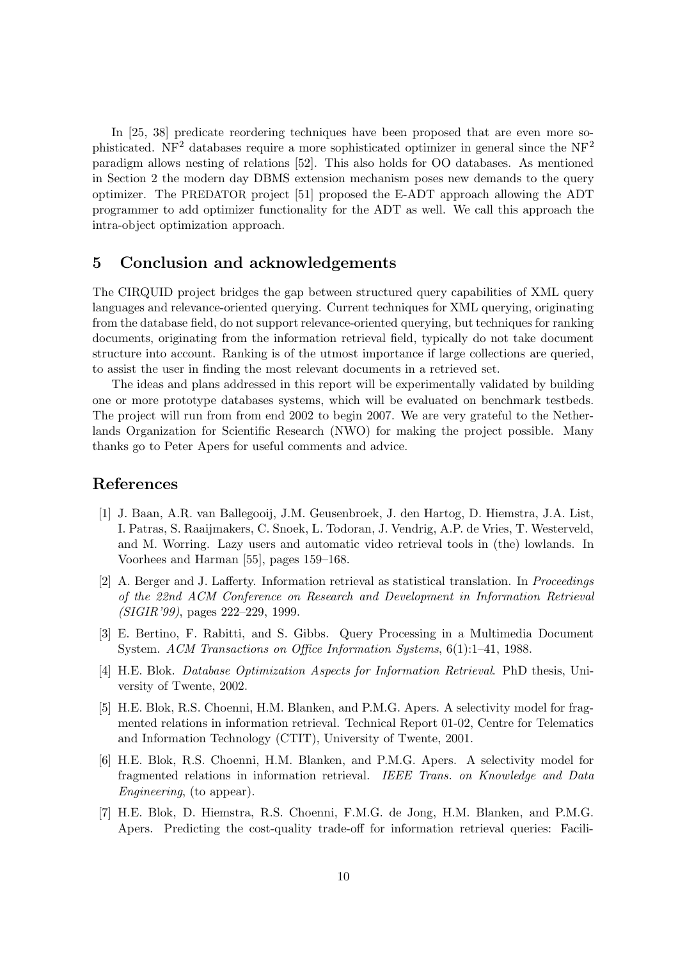In [25, 38] predicate reordering techniques have been proposed that are even more sophisticated. NF<sup>2</sup> databases require a more sophisticated optimizer in general since the NF<sup>2</sup> paradigm allows nesting of relations [52]. This also holds for OO databases. As mentioned in Section 2 the modern day DBMS extension mechanism poses new demands to the query optimizer. The PREDATOR project [51] proposed the E-ADT approach allowing the ADT programmer to add optimizer functionality for the ADT as well. We call this approach the intra-object optimization approach.

# 5 Conclusion and acknowledgements

The CIRQUID project bridges the gap between structured query capabilities of XML query languages and relevance-oriented querying. Current techniques for XML querying, originating from the database field, do not support relevance-oriented querying, but techniques for ranking documents, originating from the information retrieval field, typically do not take document structure into account. Ranking is of the utmost importance if large collections are queried, to assist the user in finding the most relevant documents in a retrieved set.

The ideas and plans addressed in this report will be experimentally validated by building one or more prototype databases systems, which will be evaluated on benchmark testbeds. The project will run from from end 2002 to begin 2007. We are very grateful to the Netherlands Organization for Scientific Research (NWO) for making the project possible. Many thanks go to Peter Apers for useful comments and advice.

## References

- [1] J. Baan, A.R. van Ballegooij, J.M. Geusenbroek, J. den Hartog, D. Hiemstra, J.A. List, I. Patras, S. Raaijmakers, C. Snoek, L. Todoran, J. Vendrig, A.P. de Vries, T. Westerveld, and M. Worring. Lazy users and automatic video retrieval tools in (the) lowlands. In Voorhees and Harman [55], pages 159–168.
- [2] A. Berger and J. Lafferty. Information retrieval as statistical translation. In Proceedings of the 22nd ACM Conference on Research and Development in Information Retrieval (SIGIR'99), pages 222–229, 1999.
- [3] E. Bertino, F. Rabitti, and S. Gibbs. Query Processing in a Multimedia Document System. ACM Transactions on Office Information Systems, 6(1):1–41, 1988.
- [4] H.E. Blok. Database Optimization Aspects for Information Retrieval. PhD thesis, University of Twente, 2002.
- [5] H.E. Blok, R.S. Choenni, H.M. Blanken, and P.M.G. Apers. A selectivity model for fragmented relations in information retrieval. Technical Report 01-02, Centre for Telematics and Information Technology (CTIT), University of Twente, 2001.
- [6] H.E. Blok, R.S. Choenni, H.M. Blanken, and P.M.G. Apers. A selectivity model for fragmented relations in information retrieval. IEEE Trans. on Knowledge and Data Engineering, (to appear).
- [7] H.E. Blok, D. Hiemstra, R.S. Choenni, F.M.G. de Jong, H.M. Blanken, and P.M.G. Apers. Predicting the cost-quality trade-off for information retrieval queries: Facili-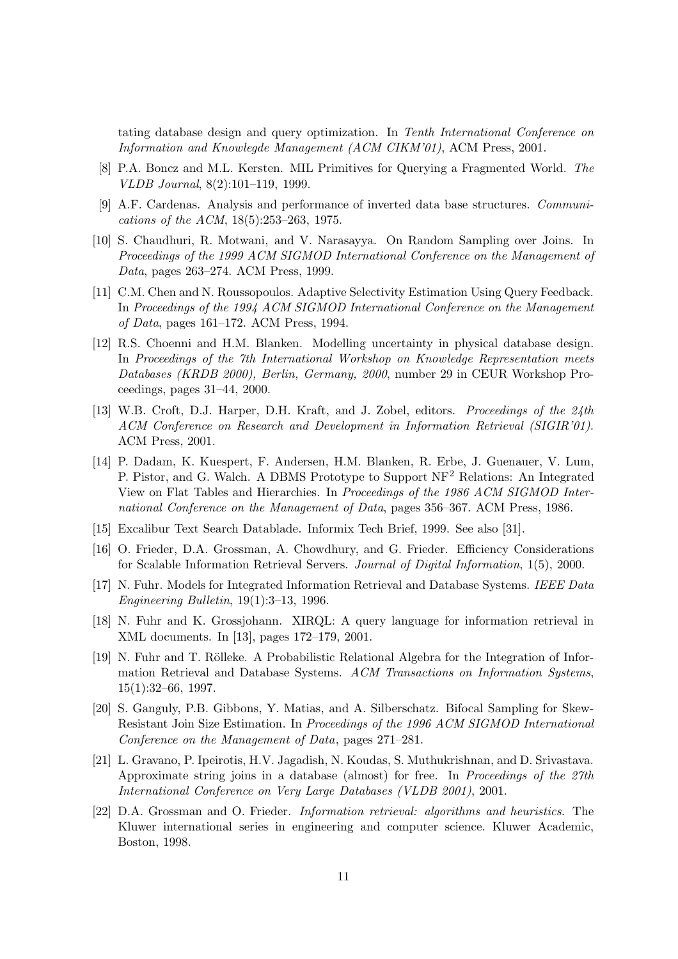tating database design and query optimization. In Tenth International Conference on Information and Knowlegde Management (ACM CIKM'01), ACM Press, 2001.

- [8] P.A. Boncz and M.L. Kersten. MIL Primitives for Querying a Fragmented World. The VLDB Journal, 8(2):101–119, 1999.
- [9] A.F. Cardenas. Analysis and performance of inverted data base structures. Communications of the ACM, 18(5):253–263, 1975.
- [10] S. Chaudhuri, R. Motwani, and V. Narasayya. On Random Sampling over Joins. In Proceedings of the 1999 ACM SIGMOD International Conference on the Management of Data, pages 263–274. ACM Press, 1999.
- [11] C.M. Chen and N. Roussopoulos. Adaptive Selectivity Estimation Using Query Feedback. In Proceedings of the 1994 ACM SIGMOD International Conference on the Management of Data, pages 161–172. ACM Press, 1994.
- [12] R.S. Choenni and H.M. Blanken. Modelling uncertainty in physical database design. In Proceedings of the 7th International Workshop on Knowledge Representation meets Databases (KRDB 2000), Berlin, Germany, 2000, number 29 in CEUR Workshop Proceedings, pages 31–44, 2000.
- [13] W.B. Croft, D.J. Harper, D.H. Kraft, and J. Zobel, editors. Proceedings of the 24th ACM Conference on Research and Development in Information Retrieval (SIGIR'01). ACM Press, 2001.
- [14] P. Dadam, K. Kuespert, F. Andersen, H.M. Blanken, R. Erbe, J. Guenauer, V. Lum, P. Pistor, and G. Walch. A DBMS Prototype to Support NF<sup>2</sup> Relations: An Integrated View on Flat Tables and Hierarchies. In Proceedings of the 1986 ACM SIGMOD International Conference on the Management of Data, pages 356–367. ACM Press, 1986.
- [15] Excalibur Text Search Datablade. Informix Tech Brief, 1999. See also [31].
- [16] O. Frieder, D.A. Grossman, A. Chowdhury, and G. Frieder. Efficiency Considerations for Scalable Information Retrieval Servers. Journal of Digital Information, 1(5), 2000.
- [17] N. Fuhr. Models for Integrated Information Retrieval and Database Systems. IEEE Data Engineering Bulletin, 19(1):3–13, 1996.
- [18] N. Fuhr and K. Grossjohann. XIRQL: A query language for information retrieval in XML documents. In [13], pages 172–179, 2001.
- [19] N. Fuhr and T. Rölleke. A Probabilistic Relational Algebra for the Integration of Information Retrieval and Database Systems. ACM Transactions on Information Systems, 15(1):32–66, 1997.
- [20] S. Ganguly, P.B. Gibbons, Y. Matias, and A. Silberschatz. Bifocal Sampling for Skew-Resistant Join Size Estimation. In Proceedings of the 1996 ACM SIGMOD International Conference on the Management of Data, pages 271–281.
- [21] L. Gravano, P. Ipeirotis, H.V. Jagadish, N. Koudas, S. Muthukrishnan, and D. Srivastava. Approximate string joins in a database (almost) for free. In Proceedings of the 27th International Conference on Very Large Databases (VLDB 2001), 2001.
- [22] D.A. Grossman and O. Frieder. Information retrieval: algorithms and heuristics. The Kluwer international series in engineering and computer science. Kluwer Academic, Boston, 1998.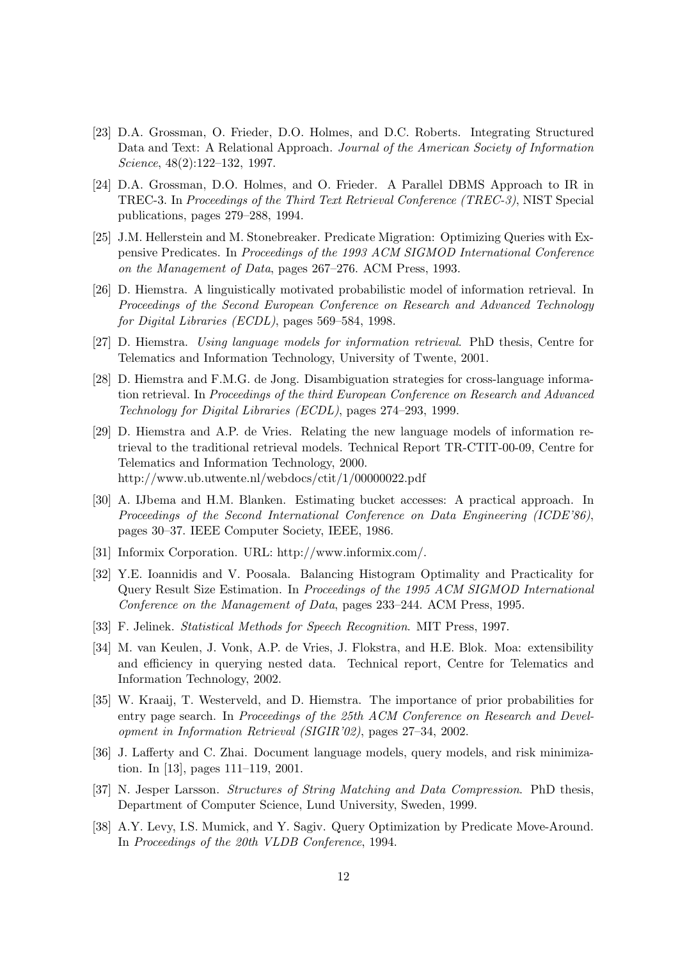- [23] D.A. Grossman, O. Frieder, D.O. Holmes, and D.C. Roberts. Integrating Structured Data and Text: A Relational Approach. Journal of the American Society of Information Science, 48(2):122–132, 1997.
- [24] D.A. Grossman, D.O. Holmes, and O. Frieder. A Parallel DBMS Approach to IR in TREC-3. In Proceedings of the Third Text Retrieval Conference (TREC-3), NIST Special publications, pages 279–288, 1994.
- [25] J.M. Hellerstein and M. Stonebreaker. Predicate Migration: Optimizing Queries with Expensive Predicates. In Proceedings of the 1993 ACM SIGMOD International Conference on the Management of Data, pages 267–276. ACM Press, 1993.
- [26] D. Hiemstra. A linguistically motivated probabilistic model of information retrieval. In Proceedings of the Second European Conference on Research and Advanced Technology for Digital Libraries (ECDL), pages 569–584, 1998.
- [27] D. Hiemstra. Using language models for information retrieval. PhD thesis, Centre for Telematics and Information Technology, University of Twente, 2001.
- [28] D. Hiemstra and F.M.G. de Jong. Disambiguation strategies for cross-language information retrieval. In Proceedings of the third European Conference on Research and Advanced Technology for Digital Libraries (ECDL), pages 274–293, 1999.
- [29] D. Hiemstra and A.P. de Vries. Relating the new language models of information retrieval to the traditional retrieval models. Technical Report TR-CTIT-00-09, Centre for Telematics and Information Technology, 2000. http://www.ub.utwente.nl/webdocs/ctit/1/00000022.pdf
- [30] A. IJbema and H.M. Blanken. Estimating bucket accesses: A practical approach. In Proceedings of the Second International Conference on Data Engineering (ICDE'86), pages 30–37. IEEE Computer Society, IEEE, 1986.
- [31] Informix Corporation. URL: http://www.informix.com/.
- [32] Y.E. Ioannidis and V. Poosala. Balancing Histogram Optimality and Practicality for Query Result Size Estimation. In Proceedings of the 1995 ACM SIGMOD International Conference on the Management of Data, pages 233–244. ACM Press, 1995.
- [33] F. Jelinek. Statistical Methods for Speech Recognition. MIT Press, 1997.
- [34] M. van Keulen, J. Vonk, A.P. de Vries, J. Flokstra, and H.E. Blok. Moa: extensibility and efficiency in querying nested data. Technical report, Centre for Telematics and Information Technology, 2002.
- [35] W. Kraaij, T. Westerveld, and D. Hiemstra. The importance of prior probabilities for entry page search. In Proceedings of the 25th ACM Conference on Research and Development in Information Retrieval (SIGIR'02), pages 27–34, 2002.
- [36] J. Lafferty and C. Zhai. Document language models, query models, and risk minimization. In [13], pages 111–119, 2001.
- [37] N. Jesper Larsson. Structures of String Matching and Data Compression. PhD thesis, Department of Computer Science, Lund University, Sweden, 1999.
- [38] A.Y. Levy, I.S. Mumick, and Y. Sagiv. Query Optimization by Predicate Move-Around. In Proceedings of the 20th VLDB Conference, 1994.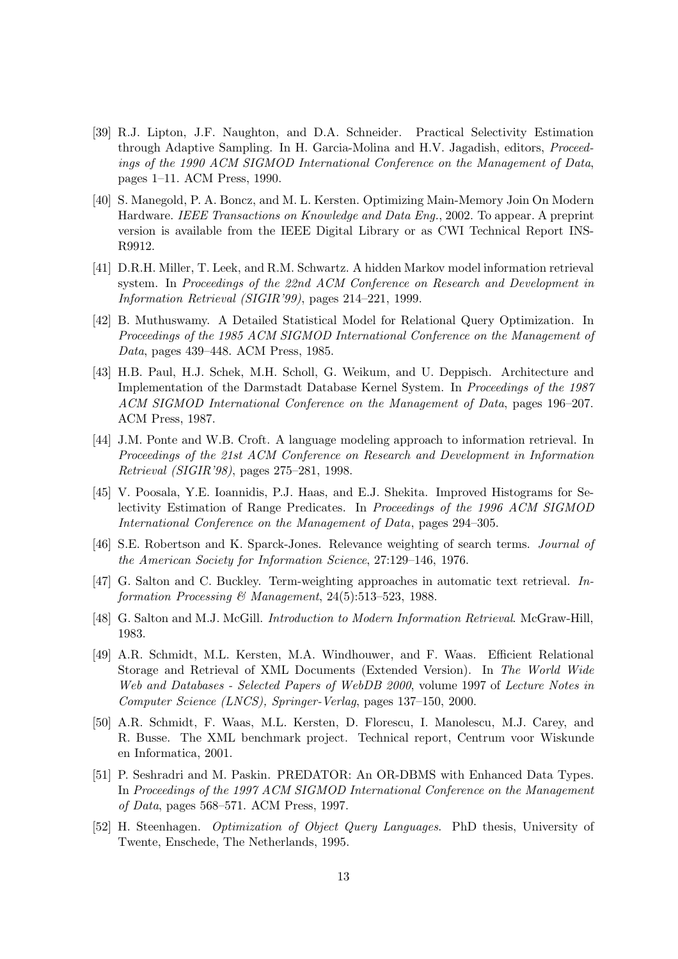- [39] R.J. Lipton, J.F. Naughton, and D.A. Schneider. Practical Selectivity Estimation through Adaptive Sampling. In H. Garcia-Molina and H.V. Jagadish, editors, Proceedings of the 1990 ACM SIGMOD International Conference on the Management of Data, pages 1–11. ACM Press, 1990.
- [40] S. Manegold, P. A. Boncz, and M. L. Kersten. Optimizing Main-Memory Join On Modern Hardware. IEEE Transactions on Knowledge and Data Eng., 2002. To appear. A preprint version is available from the IEEE Digital Library or as CWI Technical Report INS-R9912.
- [41] D.R.H. Miller, T. Leek, and R.M. Schwartz. A hidden Markov model information retrieval system. In Proceedings of the 22nd ACM Conference on Research and Development in Information Retrieval (SIGIR'99), pages 214–221, 1999.
- [42] B. Muthuswamy. A Detailed Statistical Model for Relational Query Optimization. In Proceedings of the 1985 ACM SIGMOD International Conference on the Management of Data, pages 439–448. ACM Press, 1985.
- [43] H.B. Paul, H.J. Schek, M.H. Scholl, G. Weikum, and U. Deppisch. Architecture and Implementation of the Darmstadt Database Kernel System. In Proceedings of the 1987 ACM SIGMOD International Conference on the Management of Data, pages 196–207. ACM Press, 1987.
- [44] J.M. Ponte and W.B. Croft. A language modeling approach to information retrieval. In Proceedings of the 21st ACM Conference on Research and Development in Information Retrieval (SIGIR'98), pages 275–281, 1998.
- [45] V. Poosala, Y.E. Ioannidis, P.J. Haas, and E.J. Shekita. Improved Histograms for Selectivity Estimation of Range Predicates. In Proceedings of the 1996 ACM SIGMOD International Conference on the Management of Data, pages 294–305.
- [46] S.E. Robertson and K. Sparck-Jones. Relevance weighting of search terms. Journal of the American Society for Information Science, 27:129–146, 1976.
- [47] G. Salton and C. Buckley. Term-weighting approaches in automatic text retrieval. Information Processing & Management,  $24(5):513-523$ , 1988.
- [48] G. Salton and M.J. McGill. Introduction to Modern Information Retrieval. McGraw-Hill, 1983.
- [49] A.R. Schmidt, M.L. Kersten, M.A. Windhouwer, and F. Waas. Efficient Relational Storage and Retrieval of XML Documents (Extended Version). In The World Wide Web and Databases - Selected Papers of WebDB 2000, volume 1997 of Lecture Notes in Computer Science (LNCS), Springer-Verlag, pages 137–150, 2000.
- [50] A.R. Schmidt, F. Waas, M.L. Kersten, D. Florescu, I. Manolescu, M.J. Carey, and R. Busse. The XML benchmark project. Technical report, Centrum voor Wiskunde en Informatica, 2001.
- [51] P. Seshradri and M. Paskin. PREDATOR: An OR-DBMS with Enhanced Data Types. In Proceedings of the 1997 ACM SIGMOD International Conference on the Management of Data, pages 568–571. ACM Press, 1997.
- [52] H. Steenhagen. Optimization of Object Query Languages. PhD thesis, University of Twente, Enschede, The Netherlands, 1995.